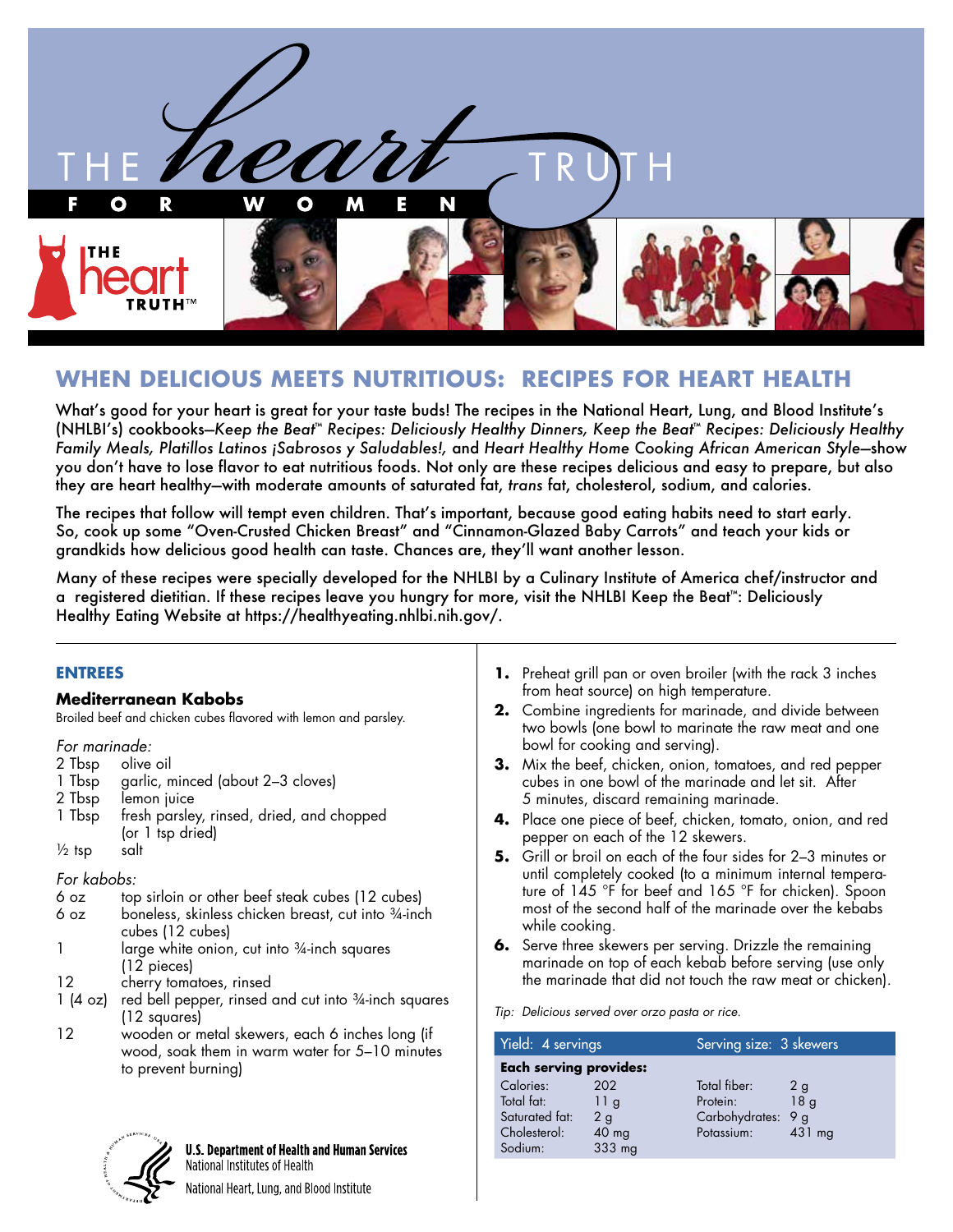

# **WHEN DELICIOUS MEETS NUTRITIOUS: RECIPES FOR HEART HEALTH**

What's good for your heart is great for your taste buds! The recipes in the National Heart, Lung, and Blood Institute's (NHLBI's) cookbooks—*Keep the Beat*™ *Recipes: Deliciously Healthy Dinners, Keep the Beat*™ *Recipes: Deliciously Healthy Family Meals, Platillos Latinos ¡Sabrosos y Saludables!,* and *Heart Healthy Home Cooking African American Style*—show you don't have to lose flavor to eat nutritious foods. Not only are these recipes delicious and easy to prepare, but also they are heart healthy—with moderate amounts of saturated fat, *trans* fat, cholesterol, sodium, and calories.

The recipes that follow will tempt even children. That's important, because good eating habits need to start early. So, cook up some "Oven-Crusted Chicken Breast" and "Cinnamon-Glazed Baby Carrots" and teach your kids or grandkids how delicious good health can taste. Chances are, they'll want another lesson.

Many of these recipes were specially developed for the NHLBI by a Culinary Institute of America chef/instructor and a registered dietitian. If these recipes leave you hungry for more, visit the NHLBI Keep the Beat™: Deliciously Healthy Eating Website at https://healthyeating.nhlbi.nih.gov/.

| <b>ENTREES</b>                                                                                                                                                                                                                                      |                                                                                                   |                                                                                                                                                                                                                                                                                                                                                                                    |                                                           |                                                | <b>1.</b> Preheat grill pan or oven broiler (with the rack 3 inches                                                                                         |                                                   |
|-----------------------------------------------------------------------------------------------------------------------------------------------------------------------------------------------------------------------------------------------------|---------------------------------------------------------------------------------------------------|------------------------------------------------------------------------------------------------------------------------------------------------------------------------------------------------------------------------------------------------------------------------------------------------------------------------------------------------------------------------------------|-----------------------------------------------------------|------------------------------------------------|-------------------------------------------------------------------------------------------------------------------------------------------------------------|---------------------------------------------------|
|                                                                                                                                                                                                                                                     | <b>Mediterranean Kabobs</b>                                                                       |                                                                                                                                                                                                                                                                                                                                                                                    |                                                           |                                                | from heat source) on high temperature.                                                                                                                      |                                                   |
| Broiled beef and chicken cubes flavored with lemon and parsley.                                                                                                                                                                                     |                                                                                                   |                                                                                                                                                                                                                                                                                                                                                                                    |                                                           |                                                | 2. Combine ingredients for marinade, and divide between<br>two bowls (one bowl to marinate the raw meat and one                                             |                                                   |
| For marinade:                                                                                                                                                                                                                                       |                                                                                                   |                                                                                                                                                                                                                                                                                                                                                                                    |                                                           | bowl for cooking and serving).                 |                                                                                                                                                             |                                                   |
| 2 Tbsp<br>olive oil<br>garlic, minced (about 2-3 cloves)<br>1 Tbsp<br>2 Tbsp<br>lemon juice                                                                                                                                                         |                                                                                                   |                                                                                                                                                                                                                                                                                                                                                                                    |                                                           |                                                | 3. Mix the beef, chicken, onion, tomatoes, and red pepper<br>cubes in one bowl of the marinade and let sit. After<br>5 minutes, discard remaining marinade. |                                                   |
| 1 Tbsp                                                                                                                                                                                                                                              | fresh parsley, rinsed, dried, and chopped<br>(or 1 tsp dried)                                     |                                                                                                                                                                                                                                                                                                                                                                                    |                                                           | pepper on each of the 12 skewers.              | 4. Place one piece of beef, chicken, tomato, onion, and red                                                                                                 |                                                   |
| $\frac{1}{2}$ tsp                                                                                                                                                                                                                                   | salt                                                                                              |                                                                                                                                                                                                                                                                                                                                                                                    |                                                           |                                                | 5. Grill or broil on each of the four sides for 2-3 minutes or                                                                                              |                                                   |
| For kabobs:<br>top sirloin or other beef steak cubes (12 cubes)<br>6 oz<br>boneless, skinless chicken breast, cut into 34-inch<br>6 oz<br>cubes (12 cubes)<br>large white onion, cut into 3/4-inch squares<br>$\mathbf{1}$<br>$(12 \text{ pieces})$ |                                                                                                   | until completely cooked (to a minimum internal tempera-<br>ture of 145 °F for beef and 165 °F for chicken). Spoon<br>most of the second half of the marinade over the kebabs<br>while cooking.<br>6. Serve three skewers per serving. Drizzle the remaining<br>marinade on top of each kebab before serving (use only<br>the marinade that did not touch the raw meat or chicken). |                                                           |                                                |                                                                                                                                                             |                                                   |
| 12<br>$1(4 \text{ oz})$                                                                                                                                                                                                                             | cherry tomatoes, rinsed<br>red bell pepper, rinsed and cut into 34-inch squares<br>(12 squares)   |                                                                                                                                                                                                                                                                                                                                                                                    |                                                           | Tip: Delicious served over orzo pasta or rice. |                                                                                                                                                             |                                                   |
| 12                                                                                                                                                                                                                                                  | wooden or metal skewers, each 6 inches long (if<br>wood, soak them in warm water for 5-10 minutes |                                                                                                                                                                                                                                                                                                                                                                                    | Yield: 4 servings                                         |                                                | Serving size: 3 skewers                                                                                                                                     |                                                   |
|                                                                                                                                                                                                                                                     | to prevent burning)                                                                               |                                                                                                                                                                                                                                                                                                                                                                                    | <b>Each serving provides:</b>                             |                                                |                                                                                                                                                             |                                                   |
|                                                                                                                                                                                                                                                     |                                                                                                   |                                                                                                                                                                                                                                                                                                                                                                                    | Calories:<br>Total fat:<br>Saturated fat:<br>Cholesterol: | 202<br>11g<br>2g<br>$40$ mg                    | Total fiber:<br>Protein:<br>Carbohydrates:<br>Potassium:                                                                                                    | 2 <sub>g</sub><br>18 <sub>g</sub><br>9g<br>431 mg |
|                                                                                                                                                                                                                                                     | <b>U.S. Department of Health and Human Services</b><br>National Institutes of Health              |                                                                                                                                                                                                                                                                                                                                                                                    | Sodium:                                                   | 333 mg                                         |                                                                                                                                                             |                                                   |
|                                                                                                                                                                                                                                                     | National Heart, Lung, and Blood Institute                                                         |                                                                                                                                                                                                                                                                                                                                                                                    |                                                           |                                                |                                                                                                                                                             |                                                   |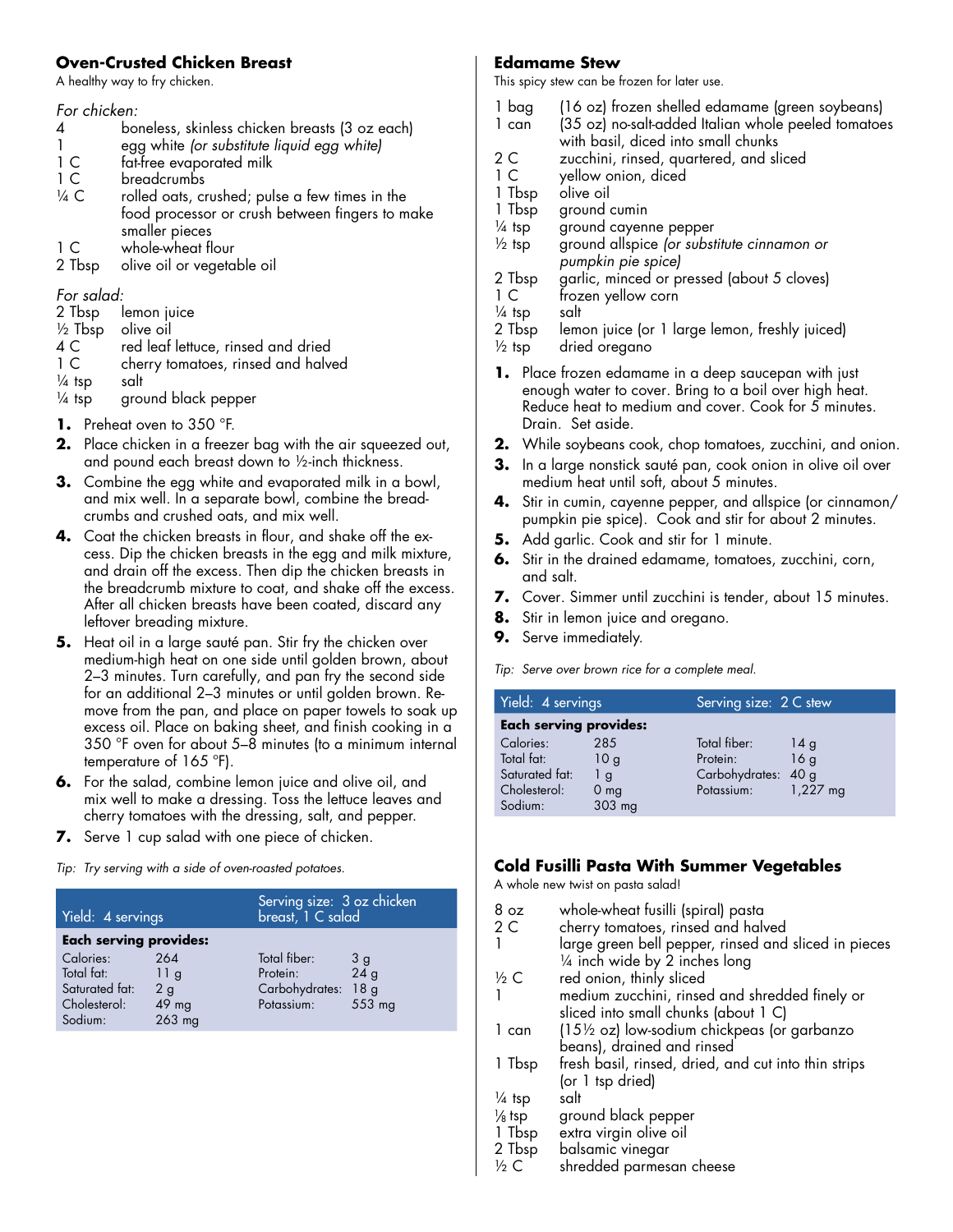### **Oven-Crusted Chicken Breast**

A healthy way to fry chicken.

### *For chicken:*

- 4 boneless, skinless chicken breasts (3 oz each)<br>1 eag white for substitute liquid eag whitel
- 1 egg white *(or substitute liquid egg white)*
- 1 C fat-free evaporated milk<br>1 C breadcrumbs
- breadcrumbs
- $\frac{1}{4}$  C rolled oats, crushed; pulse a few times in the food processor or crush between fingers to make smaller pieces
- 1 C whole-wheat flour
- 2 Tbsp olive oil or vegetable oil

*For salad:*

- 2 Tbsp lemon juice
- ½ Tbsp olive oil
- 4 C red leaf lettuce, rinsed and dried<br>1 C cherry tomatoes, rinsed and halv
- cherry tomatoes, rinsed and halved
- $\frac{1}{4}$  tsp salt
- $\frac{1}{4}$  tsp ground black pepper
- **1.** Preheat oven to 350 °F.
- **2.** Place chicken in a freezer bag with the air squeezed out, and pound each breast down to ½-inch thickness.
- **3.** Combine the egg white and evaporated milk in a bowl, and mix well. In a separate bowl, combine the breadcrumbs and crushed oats, and mix well.
- **4.** Coat the chicken breasts in flour, and shake off the excess. Dip the chicken breasts in the egg and milk mixture, and drain off the excess. Then dip the chicken breasts in the breadcrumb mixture to coat, and shake off the excess. After all chicken breasts have been coated, discard any leftover breading mixture.
- **5.** Heat oil in a large sauté pan. Stir fry the chicken over medium-high heat on one side until golden brown, about 2–3 minutes. Turn carefully, and pan fry the second side for an additional 2–3 minutes or until golden brown. Remove from the pan, and place on paper towels to soak up excess oil. Place on baking sheet, and finish cooking in a 350 °F oven for about 5–8 minutes (to a minimum internal temperature of 165 ºF).
- **6.** For the salad, combine lemon juice and olive oil, and mix well to make a dressing. Toss the lettuce leaves and cherry tomatoes with the dressing, salt, and pepper.
- **7.** Serve 1 cup salad with one piece of chicken.

*Tip: Try serving with a side of oven-roasted potatoes.*

| Yield: 4 servings                                                                                     |                                     | Serving size: 3 oz chicken<br> breast, 1 C salad         |                                        |  |
|-------------------------------------------------------------------------------------------------------|-------------------------------------|----------------------------------------------------------|----------------------------------------|--|
| <b>Each serving provides:</b><br>Calories:<br>Total fat:<br>Saturated fat:<br>Cholesterol:<br>Sodium: | 264<br>11a<br>2g<br>49 mg<br>263 mg | Total fiber:<br>Protein:<br>Carbohydrates:<br>Potassium: | 3g<br>24g<br>18 <sub>g</sub><br>553 mg |  |

### **Edamame Stew**

This spicy stew can be frozen for later use.

- 1 bag (16 oz) frozen shelled edamame (green soybeans)
- 1 can (35 oz) no-salt-added Italian whole peeled tomatoes with basil, diced into small chunks
- 2 C zucchini, rinsed, quartered, and sliced<br>1 C vellow onion, diced
- yellow onion, diced
- 1 Tbsp olive oil
- 1 Tbsp ground cumin
- $\frac{1}{4}$  tsp ground cayenne pepper
- ½ tsp ground allspice *(or substitute cinnamon or pumpkin pie spice)*
- 2 Tbsp garlic, minced or pressed (about 5 cloves)
- 1 C frozen yellow corn
- $\frac{1}{4}$  tsp salt
- 2 Tbsp lemon juice (or 1 large lemon, freshly juiced)
- $\frac{1}{2}$  tsp dried oregano
- **1.** Place frozen edamame in a deep saucepan with just enough water to cover. Bring to a boil over high heat. Reduce heat to medium and cover. Cook for 5 minutes. Drain. Set aside.
- **2.** While soybeans cook, chop tomatoes, zucchini, and onion.
- **3.** In a large nonstick sauté pan, cook onion in olive oil over medium heat until soft, about 5 minutes.
- **4.** Stir in cumin, cayenne pepper, and allspice (or cinnamon/ pumpkin pie spice). Cook and stir for about 2 minutes.
- **5.** Add garlic. Cook and stir for 1 minute.
- **6.** Stir in the drained edamame, tomatoes, zucchini, corn, and salt.
- **7.** Cover. Simmer until zucchini is tender, about 15 minutes.
- **8.** Stir in lemon juice and oregano.
- **9.** Serve immediately.

*Tip: Serve over brown rice for a complete meal.*

| Yield: 4 servings                         |                              | Serving size: 2 C stew                          |            |  |
|-------------------------------------------|------------------------------|-------------------------------------------------|------------|--|
| <b>Each serving provides:</b>             |                              |                                                 |            |  |
| Calories:<br>Total fat:<br>Saturated fat: | 285<br>10g<br>1 <sub>g</sub> | Total fiber:<br>Protein:<br>Carbohydrates: 40 g | 14g<br>16q |  |
| Cholesterol:<br>Sodium:                   | 0 <sub>mg</sub><br>303 mg    | Potassium:                                      | $1,227$ mg |  |

## **Cold Fusilli Pasta With Summer Vegetables**

A whole new twist on pasta salad!

| 8 oz                 | whole-wheat fusilli (spiral) pasta                                                     |
|----------------------|----------------------------------------------------------------------------------------|
| 2C                   | cherry tomatoes, rinsed and halved                                                     |
|                      | large green bell pepper, rinsed and sliced in pieces<br>1/4 inch wide by 2 inches long |
| $\frac{1}{2}C$       | red onion, thinly sliced                                                               |
|                      | medium zucchini, rinsed and shredded finely or<br>sliced into small chunks (about 1 C) |
| 1 can                | $(15\frac{1}{2}$ oz) low-sodium chickpeas (or garbanzo<br>beans), drained and rinsed   |
| 1 Tbsp               | fresh basil, rinsed, dried, and cut into thin strips<br>(or 1 tsp dried)               |
| 1/4 tsp              | salt                                                                                   |
| $\frac{1}{8}$ tsp    | ground black pepper                                                                    |
| 1 Tbsp               | extra virgin olive oil                                                                 |
| 2 Tbsp               | balsamic vinegar                                                                       |
| $\frac{1}{2}$ $\sim$ | لبالد المتحاد ومستحد الطالط الطالب                                                     |

 $\frac{1}{2}$  C shredded parmesan cheese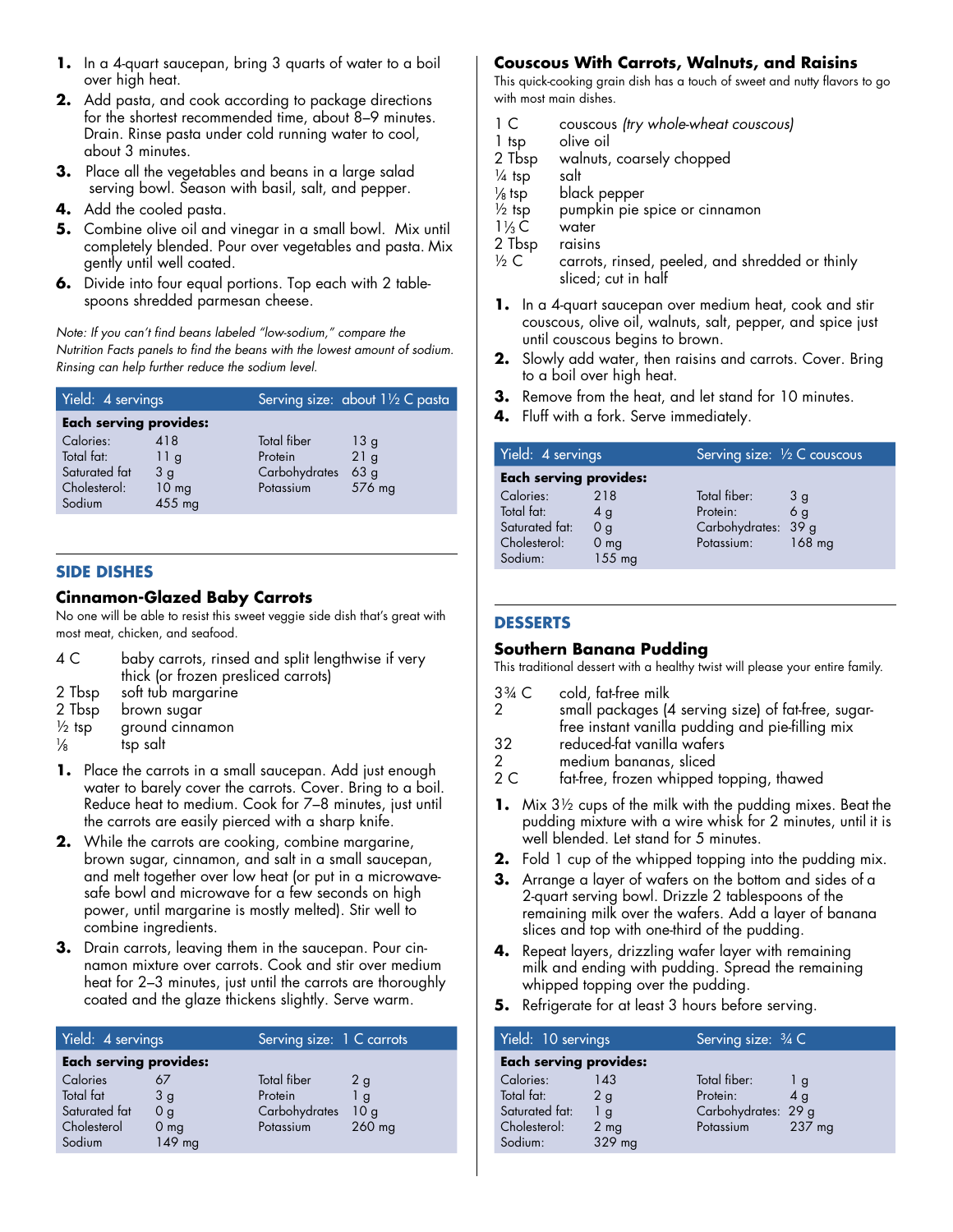- **1.** In a 4-quart saucepan, bring 3 quarts of water to a boil over high heat.
- **2.** Add pasta, and cook according to package directions for the shortest recommended time, about 8–9 minutes. Drain. Rinse pasta under cold running water to cool, about 3 minutes.
- **3.** Place all the vegetables and beans in a large salad serving bowl. Season with basil, salt, and pepper.
- **4.** Add the cooled pasta.
- **5.** Combine olive oil and vinegar in a small bowl. Mix until completely blended. Pour over vegetables and pasta. Mix gently until well coated.
- **6.** Divide into four equal portions. Top each with 2 tablespoons shredded parmesan cheese.

*Note: If you can't find beans labeled "low-sodium," compare the Nutrition Facts panels to find the beans with the lowest amount of sodium. Rinsing can help further reduce the sodium level.* 

| Yield: 4 servings             |                  |               | Serving size: about 11/2 C pasta |  |
|-------------------------------|------------------|---------------|----------------------------------|--|
| <b>Each serving provides:</b> |                  |               |                                  |  |
| Calories:                     | 418              | Total fiber   | 13 <sub>g</sub>                  |  |
| Total fat:                    | 11g              | Protein       | 21g                              |  |
| Saturated fat                 | 3q               | Carbohydrates | 63 <sub>g</sub>                  |  |
| Cholesterol:                  | 10 <sub>mg</sub> | Potassium     | 576 mg                           |  |
| Sodium                        | 455 mg           |               |                                  |  |

### **SIDE DISHES**

### **Cinnamon-Glazed Baby Carrots**

No one will be able to resist this sweet veggie side dish that's great with most meat, chicken, and seafood.

| 4 C | baby carrots, rinsed and split lengthwise if very |
|-----|---------------------------------------------------|
|     | thick (or frozen presliced carrots)               |

- 2 Tbsp soft tub margarine
- 2 Tbsp brown sugar
- $\frac{1}{2}$  tsp ground cinnamon
- $\frac{1}{8}$  tsp salt
- **1.** Place the carrots in a small saucepan. Add just enough water to barely cover the carrots. Cover. Bring to a boil. Reduce heat to medium. Cook for 7–8 minutes, just until the carrots are easily pierced with a sharp knife.
- **2.** While the carrots are cooking, combine margarine, brown sugar, cinnamon, and salt in a small saucepan, and melt together over low heat (or put in a microwavesafe bowl and microwave for a few seconds on high power, until margarine is mostly melted). Stir well to combine ingredients.
- **3.** Drain carrots, leaving them in the saucepan. Pour cinnamon mixture over carrots. Cook and stir over medium heat for 2–3 minutes, just until the carrots are thoroughly coated and the glaze thickens slightly. Serve warm.

| Yield: 4 servings             |                 | Serving size: 1 C carrots |                |  |
|-------------------------------|-----------------|---------------------------|----------------|--|
| <b>Each serving provides:</b> |                 |                           |                |  |
| Calories                      |                 | Total fiber               | 2 <sub>q</sub> |  |
| Total fat                     | 3g              | Protein                   | l g            |  |
| Saturated fat                 | 0 <sub>q</sub>  | Carbohydrates             | 10q            |  |
| Cholesterol                   | 0 <sub>mg</sub> | Potassium                 | $260$ mg       |  |
| Sodium                        | 149 mg          |                           |                |  |

### **Couscous With Carrots, Walnuts, and Raisins**

This quick-cooking grain dish has a touch of sweet and nutty flavors to go with most main dishes.

- 1 C couscous *(try whole-wheat couscous)*
- 1 tsp olive oil
- 2 Tbsp walnuts, coarsely chopped
- $\frac{1}{4}$  tsp salt
- $\frac{1}{8}$  tsp black pepper
- $\frac{1}{2}$  tsp pumpkin pie spice or cinnamon
- $1\frac{1}{3}C$  water
- 2 Tbsp raisins<br> $\frac{1}{2}$  C carrots
- carrots, rinsed, peeled, and shredded or thinly sliced; cut in half
- **1.** In a 4-quart saucepan over medium heat, cook and stir couscous, olive oil, walnuts, salt, pepper, and spice just until couscous begins to brown.
- **2.** Slowly add water, then raisins and carrots. Cover. Bring to a boil over high heat.
- **3.** Remove from the heat, and let stand for 10 minutes.
- **4.** Fluff with a fork. Serve immediately.

| Yield: 4 servings                                                    |                                                          | Serving size: 1/2 C couscous                                  |                                  |  |
|----------------------------------------------------------------------|----------------------------------------------------------|---------------------------------------------------------------|----------------------------------|--|
| <b>Each serving provides:</b>                                        |                                                          |                                                               |                                  |  |
| Calories:<br>Total fat:<br>Saturated fat:<br>Cholesterol:<br>Sodium: | 218<br>4g<br>0 <sub>q</sub><br>0 <sub>mg</sub><br>155 mg | Total fiber:<br>Protein:<br>Carbohydrates: 39 g<br>Potassium: | 3q<br>6 <sub>q</sub><br>$168$ mg |  |

### **DESSERTS**

### **Southern Banana Pudding**

This traditional dessert with a healthy twist will please your entire family.

- $3\%$  C cold, fat-free milk<br>2 small packages (4 small packages (4 serving size) of fat-free, sugarfree instant vanilla pudding and pie-filling mix
- 
- 32 reduced-fat vanilla wafers<br>2 medium bananas, sliced
- 2 medium bananas, sliced<br>2 C fat-free, frozen whipped fat-free, frozen whipped topping, thawed
- **1.** Mix 3½ cups of the milk with the pudding mixes. Beat the pudding mixture with a wire whisk for 2 minutes, until it is well blended. Let stand for 5 minutes.
- **2.** Fold 1 cup of the whipped topping into the pudding mix.
- **3.** Arrange a layer of wafers on the bottom and sides of a 2-quart serving bowl. Drizzle 2 tablespoons of the remaining milk over the wafers. Add a layer of banana slices and top with one-third of the pudding.
- **4.** Repeat layers, drizzling wafer layer with remaining milk and ending with pudding. Spread the remaining whipped topping over the pudding.
- **5.** Refrigerate for at least 3 hours before serving.

| Yield: 10 servings                                                   |                                                         | Serving size: 3/4 C                                          |                                              |  |
|----------------------------------------------------------------------|---------------------------------------------------------|--------------------------------------------------------------|----------------------------------------------|--|
| <b>Each serving provides:</b>                                        |                                                         |                                                              |                                              |  |
| Calories:<br>Total fat:<br>Saturated fat:<br>Cholesterol:<br>Sodium: | 143<br>2g<br>$\frac{1}{9}$<br>2 <sub>mg</sub><br>329 mg | Total fiber:<br>Protein:<br>Carbohydrates: 29 g<br>Potassium | $\mathsf{I}$ g<br>4 <sub>q</sub><br>$237$ mg |  |